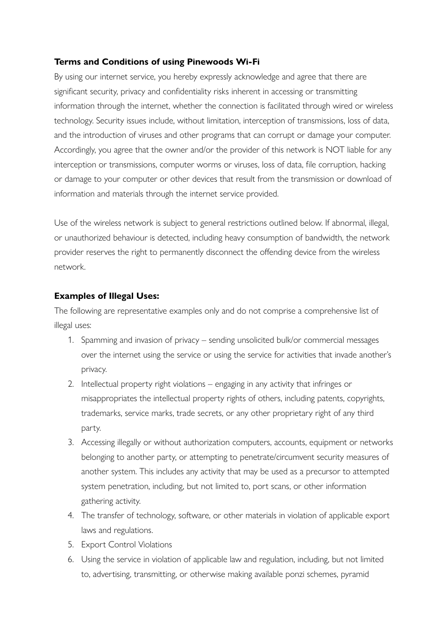## **Terms and Conditions of using Pinewoods Wi-Fi**

By using our internet service, you hereby expressly acknowledge and agree that there are significant security, privacy and confidentiality risks inherent in accessing or transmitting information through the internet, whether the connection is facilitated through wired or wireless technology. Security issues include, without limitation, interception of transmissions, loss of data, and the introduction of viruses and other programs that can corrupt or damage your computer. Accordingly, you agree that the owner and/or the provider of this network is NOT liable for any interception or transmissions, computer worms or viruses, loss of data, fle corruption, hacking or damage to your computer or other devices that result from the transmission or download of information and materials through the internet service provided.

Use of the wireless network is subject to general restrictions outlined below. If abnormal, illegal, or unauthorized behaviour is detected, including heavy consumption of bandwidth, the network provider reserves the right to permanently disconnect the offending device from the wireless network.

## **Examples of Illegal Uses:**

The following are representative examples only and do not comprise a comprehensive list of illegal uses:

- 1. Spamming and invasion of privacy sending unsolicited bulk/or commercial messages over the internet using the service or using the service for activities that invade another's privacy.
- 2. Intellectual property right violations engaging in any activity that infringes or misappropriates the intellectual property rights of others, including patents, copyrights, trademarks, service marks, trade secrets, or any other proprietary right of any third party.
- 3. Accessing illegally or without authorization computers, accounts, equipment or networks belonging to another party, or attempting to penetrate/circumvent security measures of another system. This includes any activity that may be used as a precursor to attempted system penetration, including, but not limited to, port scans, or other information gathering activity.
- 4. The transfer of technology, software, or other materials in violation of applicable export laws and regulations.
- 5. Export Control Violations
- 6. Using the service in violation of applicable law and regulation, including, but not limited to, advertising, transmitting, or otherwise making available ponzi schemes, pyramid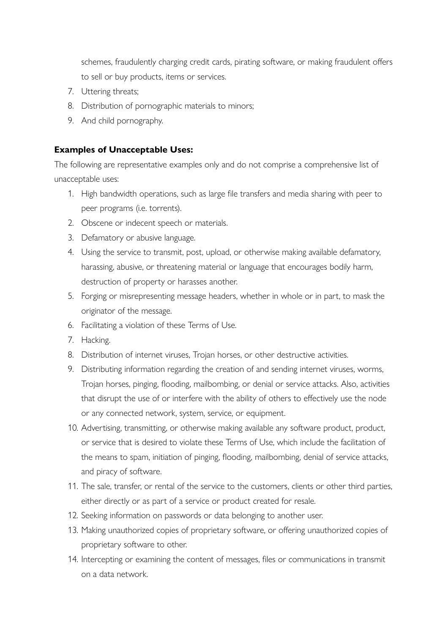schemes, fraudulently charging credit cards, pirating software, or making fraudulent offers to sell or buy products, items or services.

- 7. Uttering threats;
- 8. Distribution of pornographic materials to minors;
- 9. And child pornography.

## **Examples of Unacceptable Uses:**

The following are representative examples only and do not comprise a comprehensive list of unacceptable uses:

- 1. High bandwidth operations, such as large fle transfers and media sharing with peer to peer programs (i.e. torrents).
- 2. Obscene or indecent speech or materials.
- 3. Defamatory or abusive language.
- 4. Using the service to transmit, post, upload, or otherwise making available defamatory, harassing, abusive, or threatening material or language that encourages bodily harm, destruction of property or harasses another.
- 5. Forging or misrepresenting message headers, whether in whole or in part, to mask the originator of the message.
- 6. Facilitating a violation of these Terms of Use.
- 7. Hacking.
- 8. Distribution of internet viruses, Trojan horses, or other destructive activities.
- 9. Distributing information regarding the creation of and sending internet viruses, worms, Trojan horses, pinging, flooding, mailbombing, or denial or service attacks. Also, activities that disrupt the use of or interfere with the ability of others to effectively use the node or any connected network, system, service, or equipment.
- 10. Advertising, transmitting, or otherwise making available any software product, product, or service that is desired to violate these Terms of Use, which include the facilitation of the means to spam, initiation of pinging, flooding, mailbombing, denial of service attacks, and piracy of software.
- 11. The sale, transfer, or rental of the service to the customers, clients or other third parties, either directly or as part of a service or product created for resale.
- 12. Seeking information on passwords or data belonging to another user.
- 13. Making unauthorized copies of proprietary software, or offering unauthorized copies of proprietary software to other.
- 14. Intercepting or examining the content of messages, fles or communications in transmit on a data network.